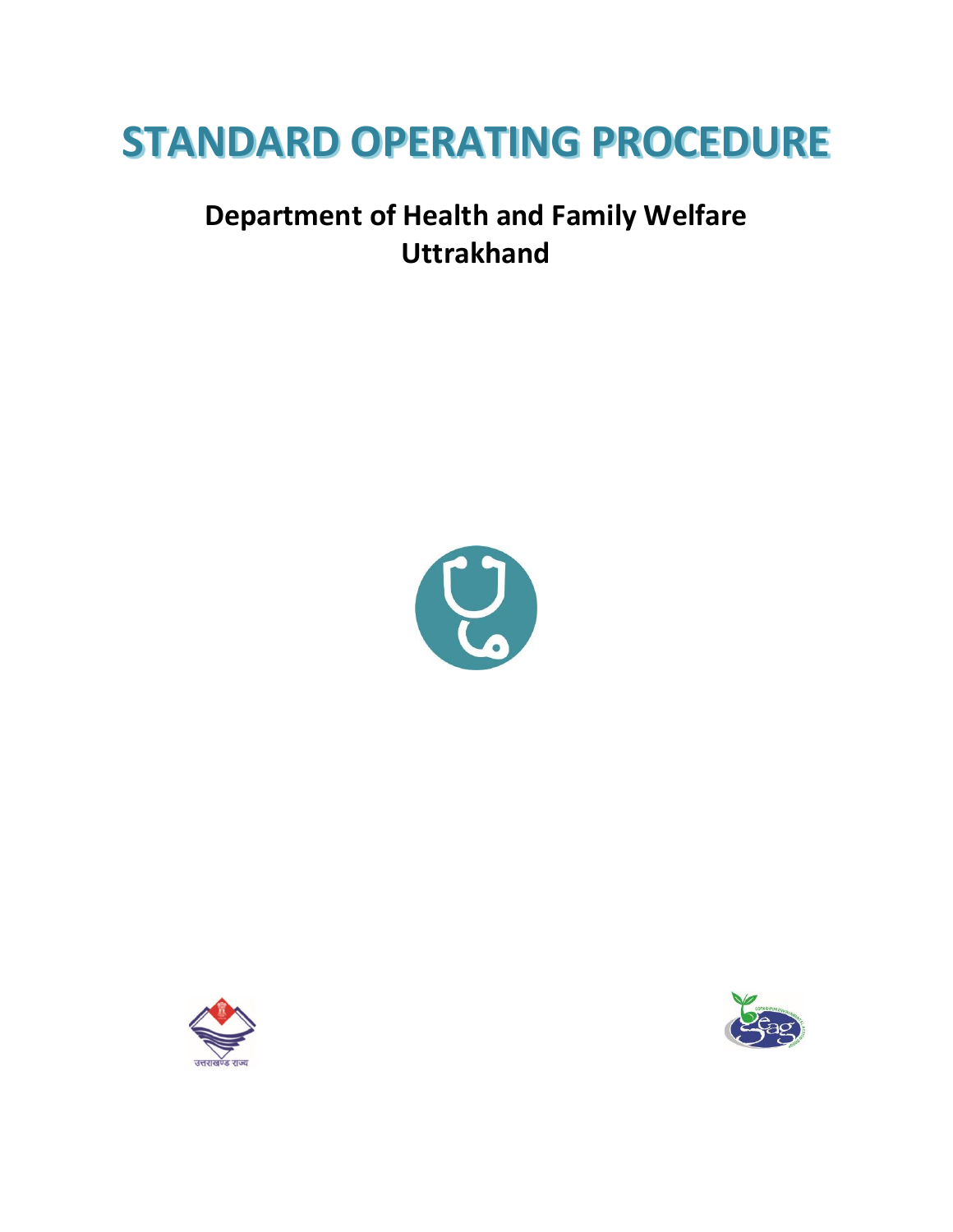# **STANDARD OPERATING PROCEDURE**

# **Department of Health and Family Welfare Uttrakhand**





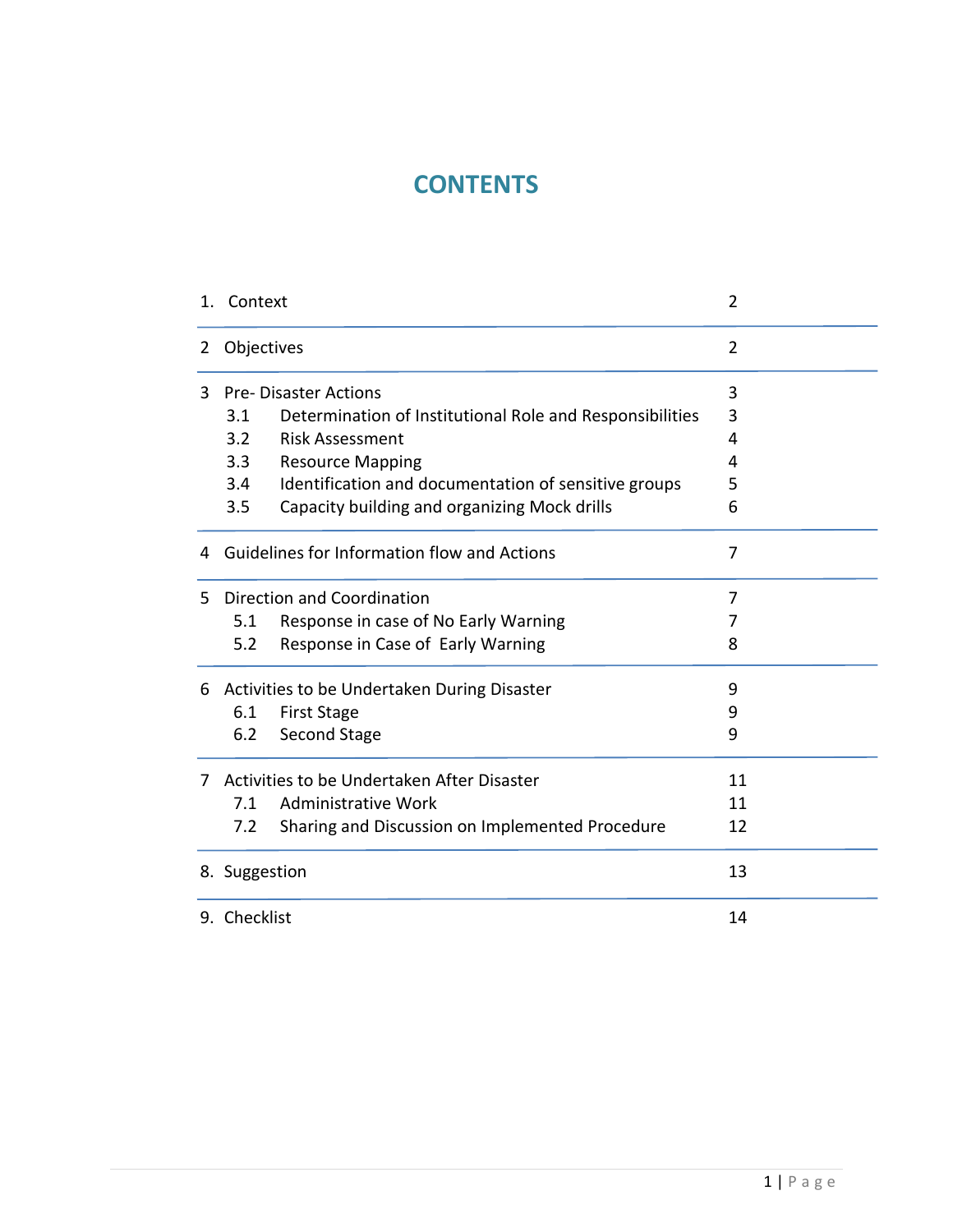# **CONTENTS**

| 1. | Context                                     |                                                          | 2              |
|----|---------------------------------------------|----------------------------------------------------------|----------------|
| 2  | Objectives                                  |                                                          | 2              |
| 3  | <b>Pre-Disaster Actions</b>                 |                                                          | 3              |
|    | 3.1                                         | Determination of Institutional Role and Responsibilities | 3              |
|    | $3.2^{\circ}$                               | <b>Risk Assessment</b>                                   | 4              |
|    | 3.3                                         | <b>Resource Mapping</b>                                  | 4              |
|    | 3.4                                         | Identification and documentation of sensitive groups     | 5              |
|    | 3.5                                         | Capacity building and organizing Mock drills             | 6              |
| 4  |                                             | Guidelines for Information flow and Actions              | $\overline{7}$ |
| 5. | Direction and Coordination                  |                                                          | 7              |
|    | 5.1                                         | Response in case of No Early Warning                     | 7              |
|    | 5.2                                         | Response in Case of Early Warning                        | 8              |
| 6  | Activities to be Undertaken During Disaster |                                                          | 9              |
|    | 6.1                                         | <b>First Stage</b>                                       | 9              |
|    | 6.2                                         | Second Stage                                             | 9              |
| 7  | Activities to be Undertaken After Disaster  |                                                          | 11             |
|    | 7.1                                         | Administrative Work                                      | 11             |
|    | 7.2                                         | Sharing and Discussion on Implemented Procedure          | 12             |
|    | 8. Suggestion                               |                                                          | 13             |
|    | 9. Checklist                                |                                                          | 14             |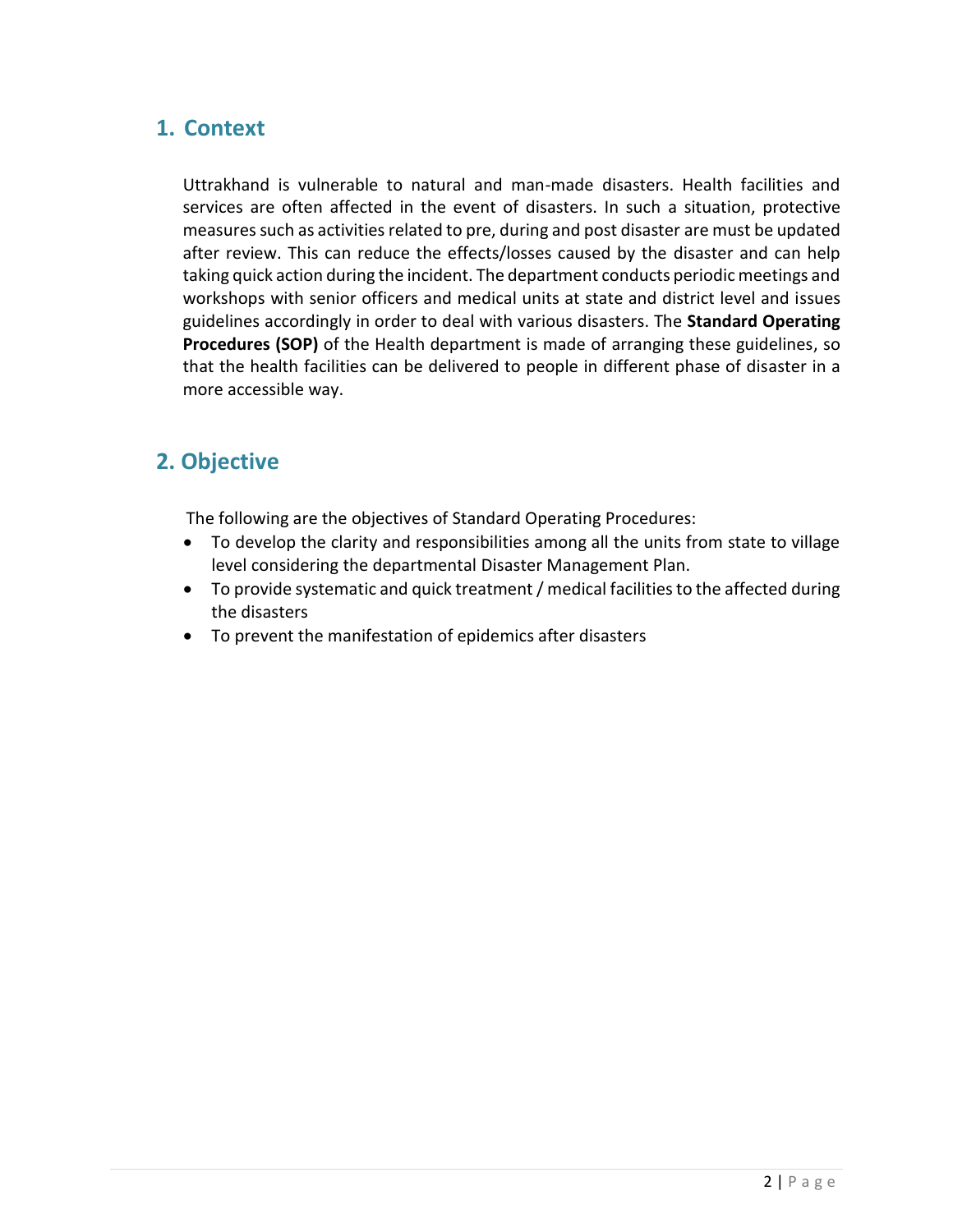### **1. Context**

Uttrakhand is vulnerable to natural and man-made disasters. Health facilities and services are often affected in the event of disasters. In such a situation, protective measures such as activities related to pre, during and post disaster are must be updated after review. This can reduce the effects/losses caused by the disaster and can help taking quick action during the incident. The department conducts periodic meetings and workshops with senior officers and medical units at state and district level and issues guidelines accordingly in order to deal with various disasters. The **Standard Operating Procedures (SOP)** of the Health department is made of arranging these guidelines, so that the health facilities can be delivered to people in different phase of disaster in a more accessible way.

# **2. Objective**

The following are the objectives of Standard Operating Procedures:

- To develop the clarity and responsibilities among all the units from state to village level considering the departmental Disaster Management Plan.
- To provide systematic and quick treatment / medical facilities to the affected during the disasters
- To prevent the manifestation of epidemics after disasters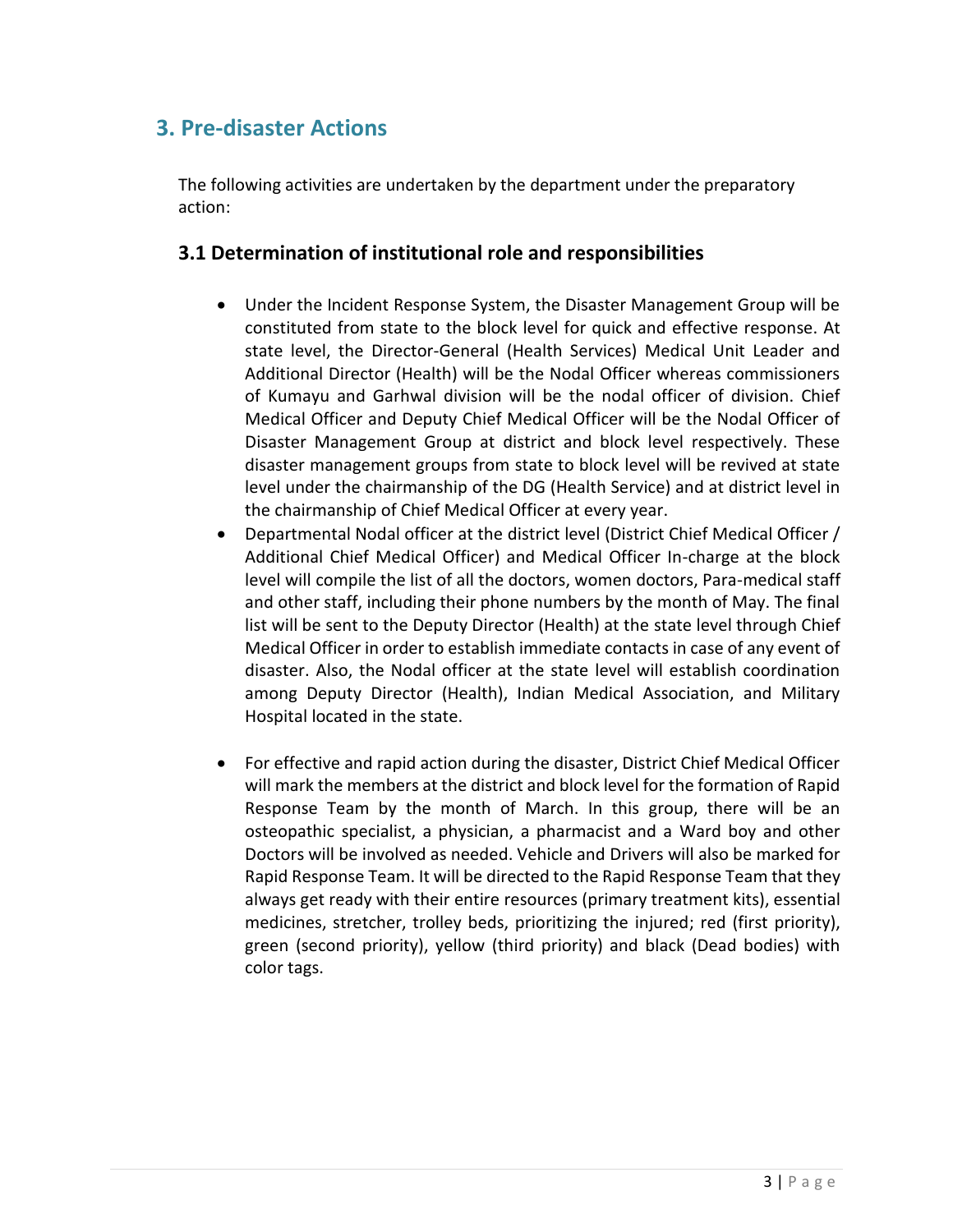# **3. Pre-disaster Actions**

The following activities are undertaken by the department under the preparatory action:

#### **3.1 Determination of institutional role and responsibilities**

- Under the Incident Response System, the Disaster Management Group will be constituted from state to the block level for quick and effective response. At state level, the Director-General (Health Services) Medical Unit Leader and Additional Director (Health) will be the Nodal Officer whereas commissioners of Kumayu and Garhwal division will be the nodal officer of division. Chief Medical Officer and Deputy Chief Medical Officer will be the Nodal Officer of Disaster Management Group at district and block level respectively. These disaster management groups from state to block level will be revived at state level under the chairmanship of the DG (Health Service) and at district level in the chairmanship of Chief Medical Officer at every year.
- Departmental Nodal officer at the district level (District Chief Medical Officer / Additional Chief Medical Officer) and Medical Officer In-charge at the block level will compile the list of all the doctors, women doctors, Para-medical staff and other staff, including their phone numbers by the month of May. The final list will be sent to the Deputy Director (Health) at the state level through Chief Medical Officer in order to establish immediate contacts in case of any event of disaster. Also, the Nodal officer at the state level will establish coordination among Deputy Director (Health), Indian Medical Association, and Military Hospital located in the state.
- For effective and rapid action during the disaster, District Chief Medical Officer will mark the members at the district and block level for the formation of Rapid Response Team by the month of March. In this group, there will be an osteopathic specialist, a physician, a pharmacist and a Ward boy and other Doctors will be involved as needed. Vehicle and Drivers will also be marked for Rapid Response Team. It will be directed to the Rapid Response Team that they always get ready with their entire resources (primary treatment kits), essential medicines, stretcher, trolley beds, prioritizing the injured; red (first priority), green (second priority), yellow (third priority) and black (Dead bodies) with color tags.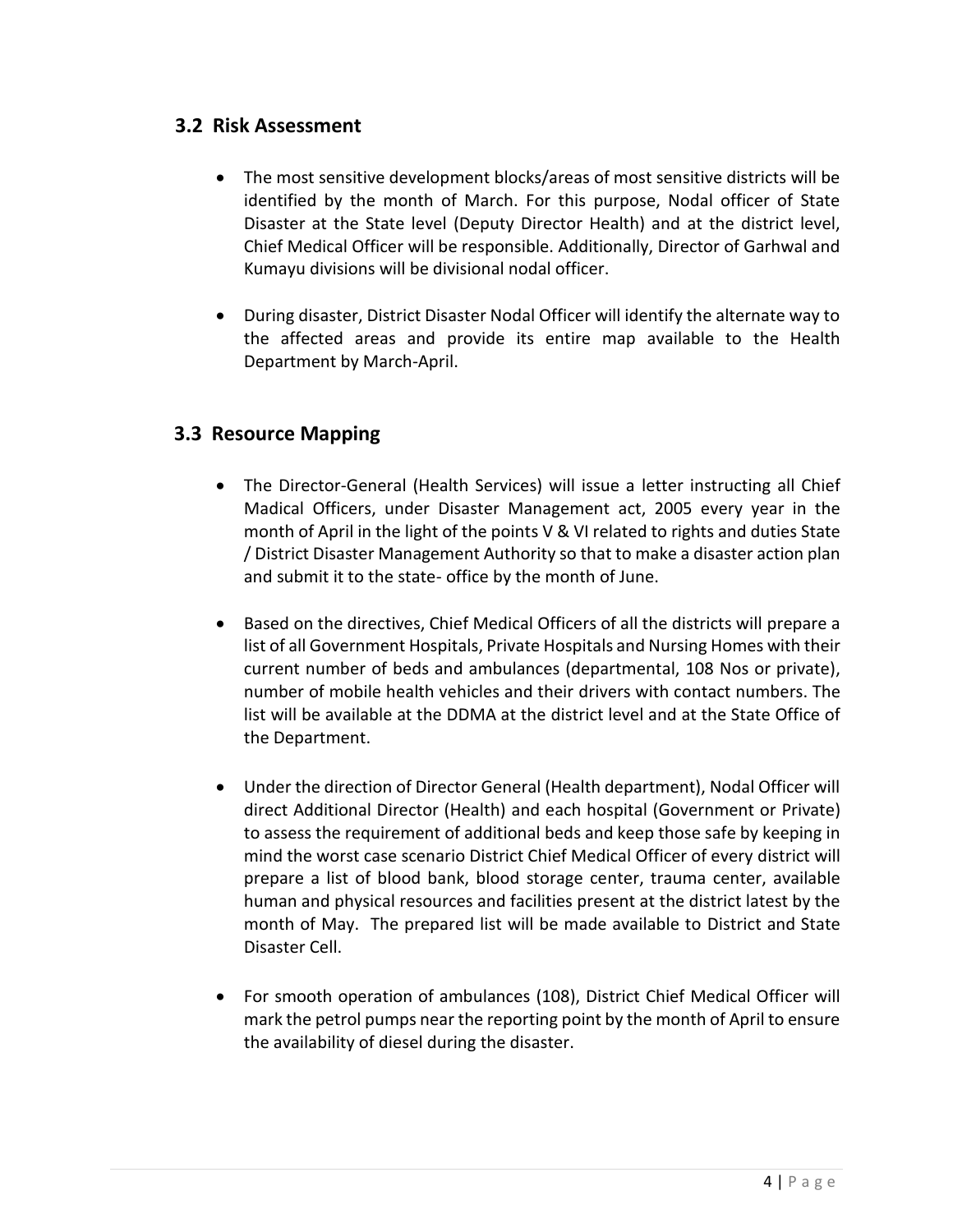#### **3.2 Risk Assessment**

- The most sensitive development blocks/areas of most sensitive districts will be identified by the month of March. For this purpose, Nodal officer of State Disaster at the State level (Deputy Director Health) and at the district level, Chief Medical Officer will be responsible. Additionally, Director of Garhwal and Kumayu divisions will be divisional nodal officer.
- During disaster, District Disaster Nodal Officer will identify the alternate way to the affected areas and provide its entire map available to the Health Department by March-April.

#### **3.3 Resource Mapping**

- The Director-General (Health Services) will issue a letter instructing all Chief Madical Officers, under Disaster Management act, 2005 every year in the month of April in the light of the points V & VI related to rights and duties State / District Disaster Management Authority so that to make a disaster action plan and submit it to the state- office by the month of June.
- Based on the directives, Chief Medical Officers of all the districts will prepare a list of all Government Hospitals, Private Hospitals and Nursing Homes with their current number of beds and ambulances (departmental, 108 Nos or private), number of mobile health vehicles and their drivers with contact numbers. The list will be available at the DDMA at the district level and at the State Office of the Department.
- Under the direction of Director General (Health department), Nodal Officer will direct Additional Director (Health) and each hospital (Government or Private) to assess the requirement of additional beds and keep those safe by keeping in mind the worst case scenario District Chief Medical Officer of every district will prepare a list of blood bank, blood storage center, trauma center, available human and physical resources and facilities present at the district latest by the month of May. The prepared list will be made available to District and State Disaster Cell.
- For smooth operation of ambulances (108), District Chief Medical Officer will mark the petrol pumps near the reporting point by the month of April to ensure the availability of diesel during the disaster.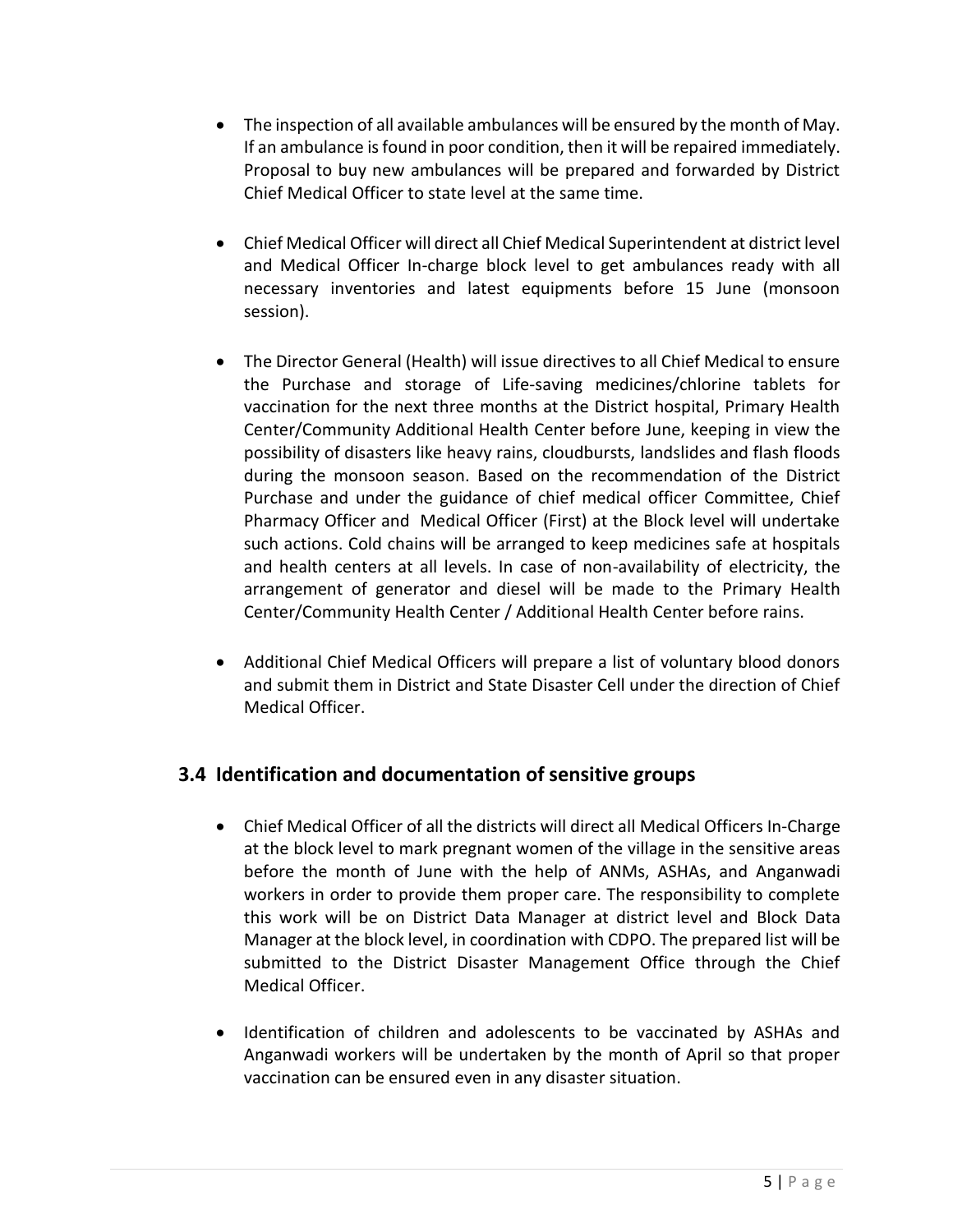- The inspection of all available ambulances will be ensured by the month of May. If an ambulance is found in poor condition, then it will be repaired immediately. Proposal to buy new ambulances will be prepared and forwarded by District Chief Medical Officer to state level at the same time.
- Chief Medical Officer will direct all Chief Medical Superintendent at district level and Medical Officer In-charge block level to get ambulances ready with all necessary inventories and latest equipments before 15 June (monsoon session).
- The Director General (Health) will issue directives to all Chief Medical to ensure the Purchase and storage of Life-saving medicines/chlorine tablets for vaccination for the next three months at the District hospital, Primary Health Center/Community Additional Health Center before June, keeping in view the possibility of disasters like heavy rains, cloudbursts, landslides and flash floods during the monsoon season. Based on the recommendation of the District Purchase and under the guidance of chief medical officer Committee, Chief Pharmacy Officer and Medical Officer (First) at the Block level will undertake such actions. Cold chains will be arranged to keep medicines safe at hospitals and health centers at all levels. In case of non-availability of electricity, the arrangement of generator and diesel will be made to the Primary Health Center/Community Health Center / Additional Health Center before rains.
- Additional Chief Medical Officers will prepare a list of voluntary blood donors and submit them in District and State Disaster Cell under the direction of Chief Medical Officer.

#### **3.4 Identification and documentation of sensitive groups**

- Chief Medical Officer of all the districts will direct all Medical Officers In-Charge at the block level to mark pregnant women of the village in the sensitive areas before the month of June with the help of ANMs, ASHAs, and Anganwadi workers in order to provide them proper care. The responsibility to complete this work will be on District Data Manager at district level and Block Data Manager at the block level, in coordination with CDPO. The prepared list will be submitted to the District Disaster Management Office through the Chief Medical Officer.
- Identification of children and adolescents to be vaccinated by ASHAs and Anganwadi workers will be undertaken by the month of April so that proper vaccination can be ensured even in any disaster situation.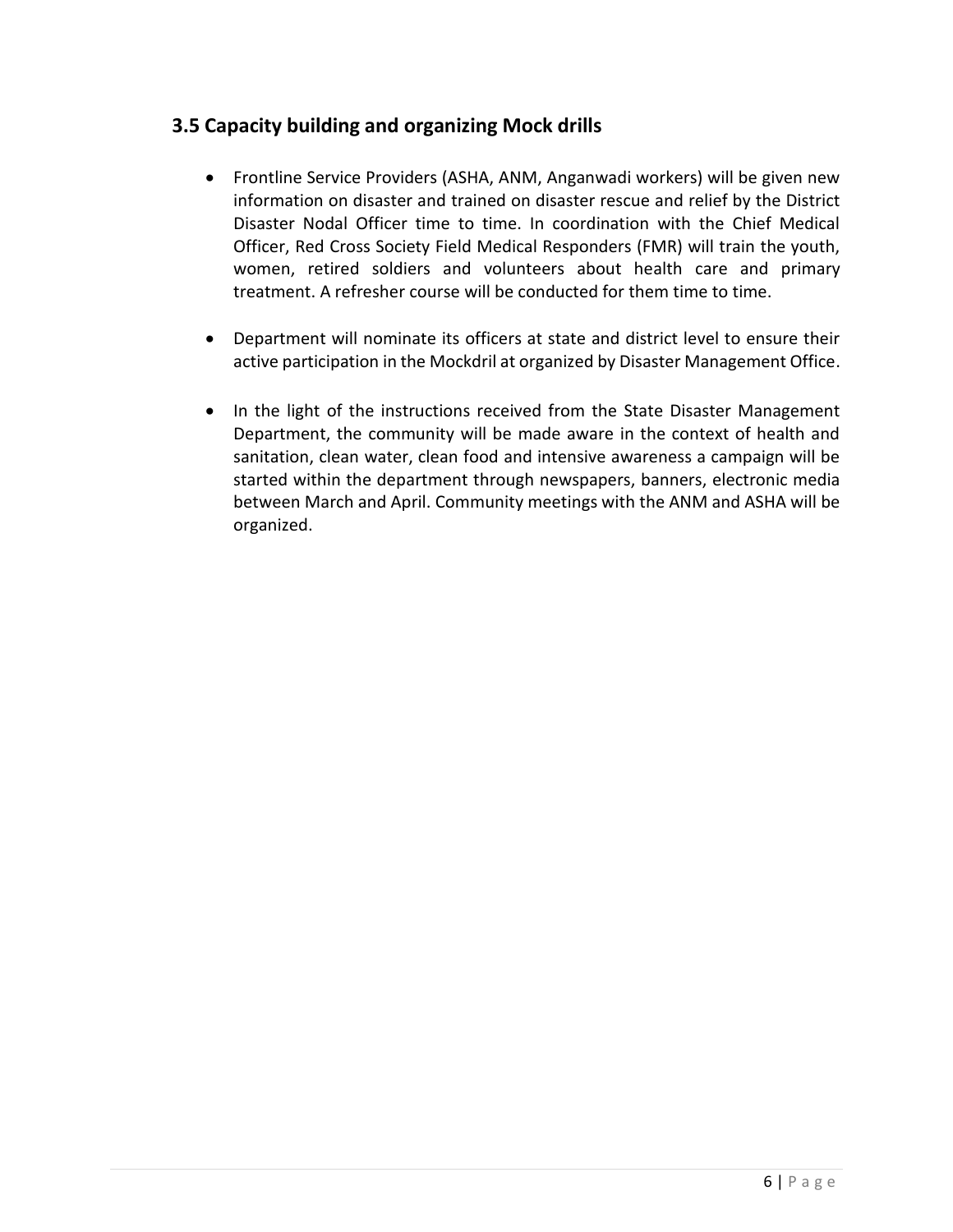#### **3.5 Capacity building and organizing Mock drills**

- Frontline Service Providers (ASHA, ANM, Anganwadi workers) will be given new information on disaster and trained on disaster rescue and relief by the District Disaster Nodal Officer time to time. In coordination with the Chief Medical Officer, Red Cross Society Field Medical Responders (FMR) will train the youth, women, retired soldiers and volunteers about health care and primary treatment. A refresher course will be conducted for them time to time.
- Department will nominate its officers at state and district level to ensure their active participation in the Mockdril at organized by Disaster Management Office.
- In the light of the instructions received from the State Disaster Management Department, the community will be made aware in the context of health and sanitation, clean water, clean food and intensive awareness a campaign will be started within the department through newspapers, banners, electronic media between March and April. Community meetings with the ANM and ASHA will be organized.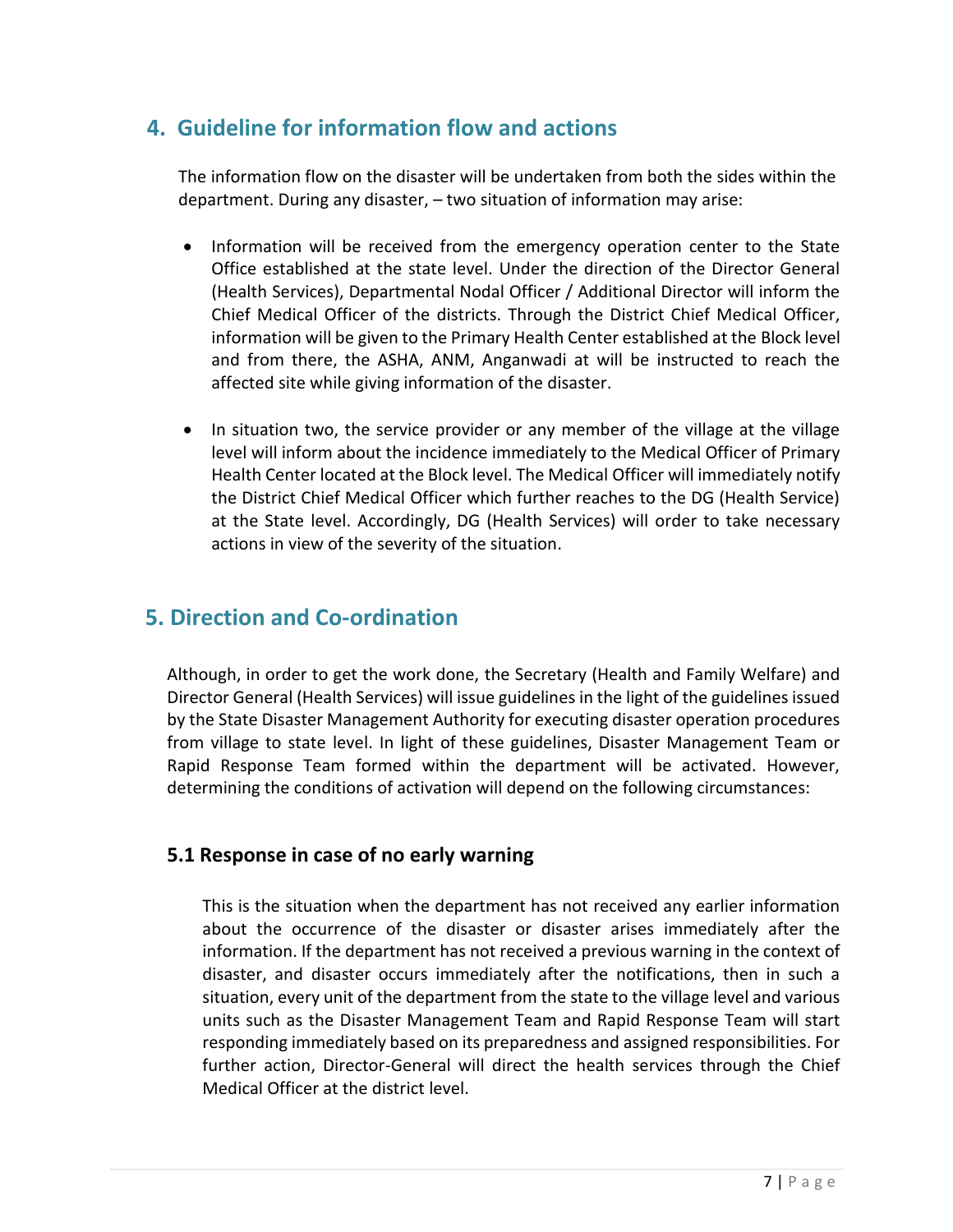# **4. Guideline for information flow and actions**

The information flow on the disaster will be undertaken from both the sides within the department. During any disaster, – two situation of information may arise:

- Information will be received from the emergency operation center to the State Office established at the state level. Under the direction of the Director General (Health Services), Departmental Nodal Officer / Additional Director will inform the Chief Medical Officer of the districts. Through the District Chief Medical Officer, information will be given to the Primary Health Center established at the Block level and from there, the ASHA, ANM, Anganwadi at will be instructed to reach the affected site while giving information of the disaster.
- In situation two, the service provider or any member of the village at the village level will inform about the incidence immediately to the Medical Officer of Primary Health Center located at the Block level. The Medical Officer will immediately notify the District Chief Medical Officer which further reaches to the DG (Health Service) at the State level. Accordingly, DG (Health Services) will order to take necessary actions in view of the severity of the situation.

### **5. Direction and Co-ordination**

Although, in order to get the work done, the Secretary (Health and Family Welfare) and Director General (Health Services) will issue guidelines in the light of the guidelines issued by the State Disaster Management Authority for executing disaster operation procedures from village to state level. In light of these guidelines, Disaster Management Team or Rapid Response Team formed within the department will be activated. However, determining the conditions of activation will depend on the following circumstances:

#### **5.1 Response in case of no early warning**

This is the situation when the department has not received any earlier information about the occurrence of the disaster or disaster arises immediately after the information. If the department has not received a previous warning in the context of disaster, and disaster occurs immediately after the notifications, then in such a situation, every unit of the department from the state to the village level and various units such as the Disaster Management Team and Rapid Response Team will start responding immediately based on its preparedness and assigned responsibilities. For further action, Director-General will direct the health services through the Chief Medical Officer at the district level.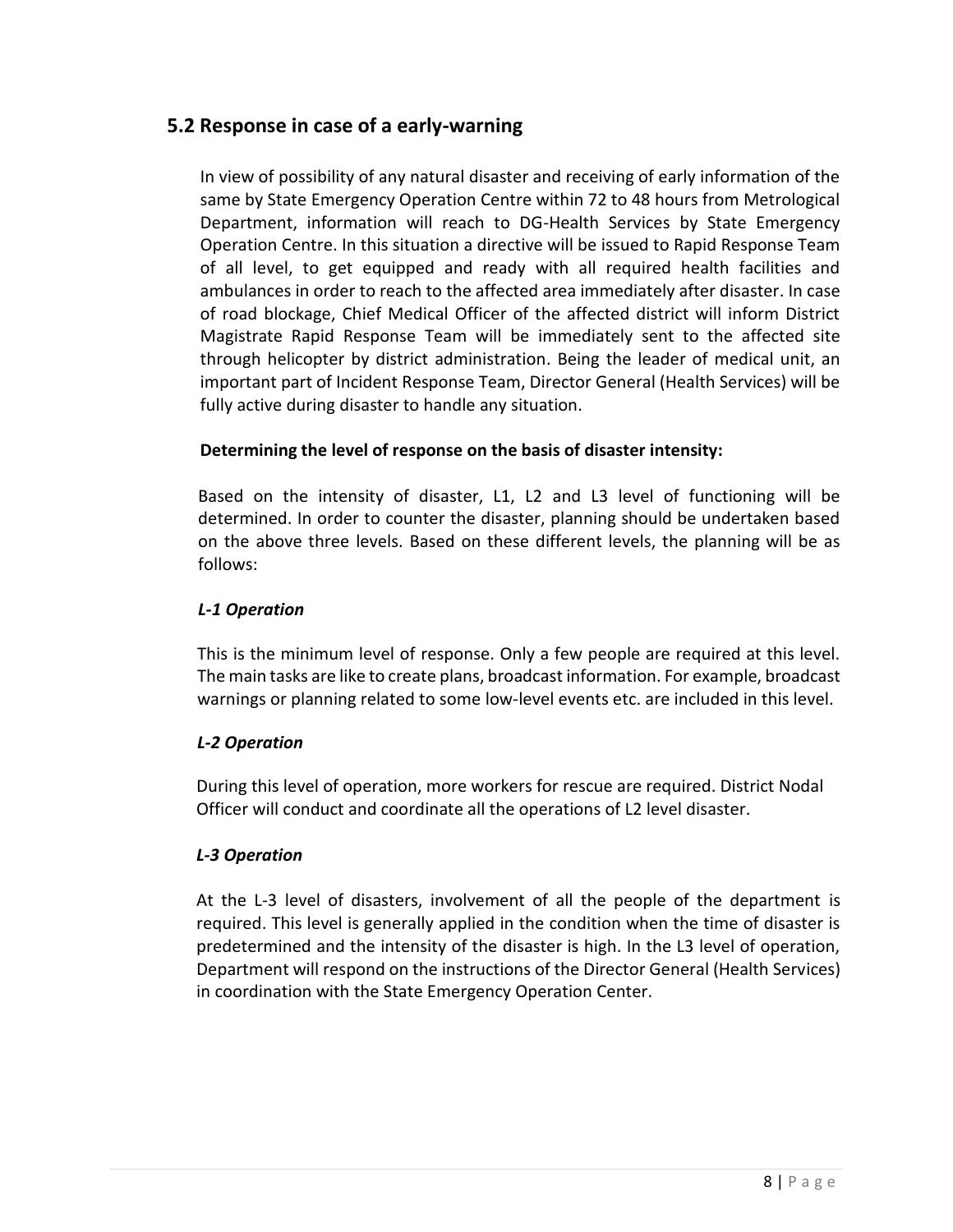#### **5.2 Response in case of a early-warning**

In view of possibility of any natural disaster and receiving of early information of the same by State Emergency Operation Centre within 72 to 48 hours from Metrological Department, information will reach to DG-Health Services by State Emergency Operation Centre. In this situation a directive will be issued to Rapid Response Team of all level, to get equipped and ready with all required health facilities and ambulances in order to reach to the affected area immediately after disaster. In case of road blockage, Chief Medical Officer of the affected district will inform District Magistrate Rapid Response Team will be immediately sent to the affected site through helicopter by district administration. Being the leader of medical unit, an important part of Incident Response Team, Director General (Health Services) will be fully active during disaster to handle any situation.

#### **Determining the level of response on the basis of disaster intensity:**

Based on the intensity of disaster, L1, L2 and L3 level of functioning will be determined. In order to counter the disaster, planning should be undertaken based on the above three levels. Based on these different levels, the planning will be as follows:

#### *L-1 Operation*

This is the minimum level of response. Only a few people are required at this level. The main tasks are like to create plans, broadcast information. For example, broadcast warnings or planning related to some low-level events etc. are included in this level.

#### *L-2 Operation*

During this level of operation, more workers for rescue are required. District Nodal Officer will conduct and coordinate all the operations of L2 level disaster.

#### *L-3 Operation*

At the L-3 level of disasters, involvement of all the people of the department is required. This level is generally applied in the condition when the time of disaster is predetermined and the intensity of the disaster is high. In the L3 level of operation, Department will respond on the instructions of the Director General (Health Services) in coordination with the State Emergency Operation Center.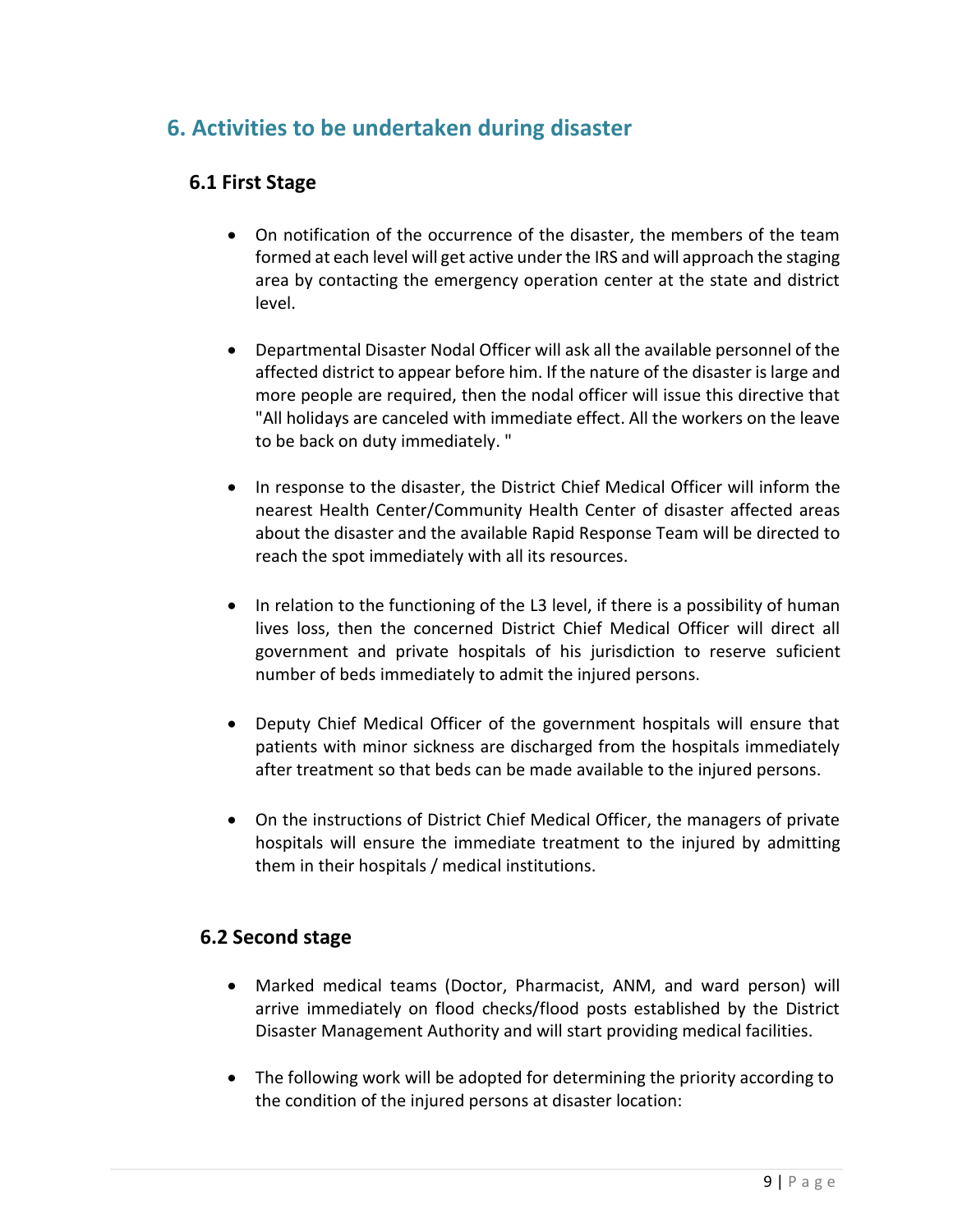### **6. Activities to be undertaken during disaster**

#### **6.1 First Stage**

- On notification of the occurrence of the disaster, the members of the team formed at each level will get active under the IRS and will approach the staging area by contacting the emergency operation center at the state and district level.
- Departmental Disaster Nodal Officer will ask all the available personnel of the affected district to appear before him. If the nature of the disaster is large and more people are required, then the nodal officer will issue this directive that "All holidays are canceled with immediate effect. All the workers on the leave to be back on duty immediately. "
- In response to the disaster, the District Chief Medical Officer will inform the nearest Health Center/Community Health Center of disaster affected areas about the disaster and the available Rapid Response Team will be directed to reach the spot immediately with all its resources.
- In relation to the functioning of the L3 level, if there is a possibility of human lives loss, then the concerned District Chief Medical Officer will direct all government and private hospitals of his jurisdiction to reserve suficient number of beds immediately to admit the injured persons.
- Deputy Chief Medical Officer of the government hospitals will ensure that patients with minor sickness are discharged from the hospitals immediately after treatment so that beds can be made available to the injured persons.
- On the instructions of District Chief Medical Officer, the managers of private hospitals will ensure the immediate treatment to the injured by admitting them in their hospitals / medical institutions.

#### **6.2 Second stage**

- Marked medical teams (Doctor, Pharmacist, ANM, and ward person) will arrive immediately on flood checks/flood posts established by the District Disaster Management Authority and will start providing medical facilities.
- The following work will be adopted for determining the priority according to the condition of the injured persons at disaster location: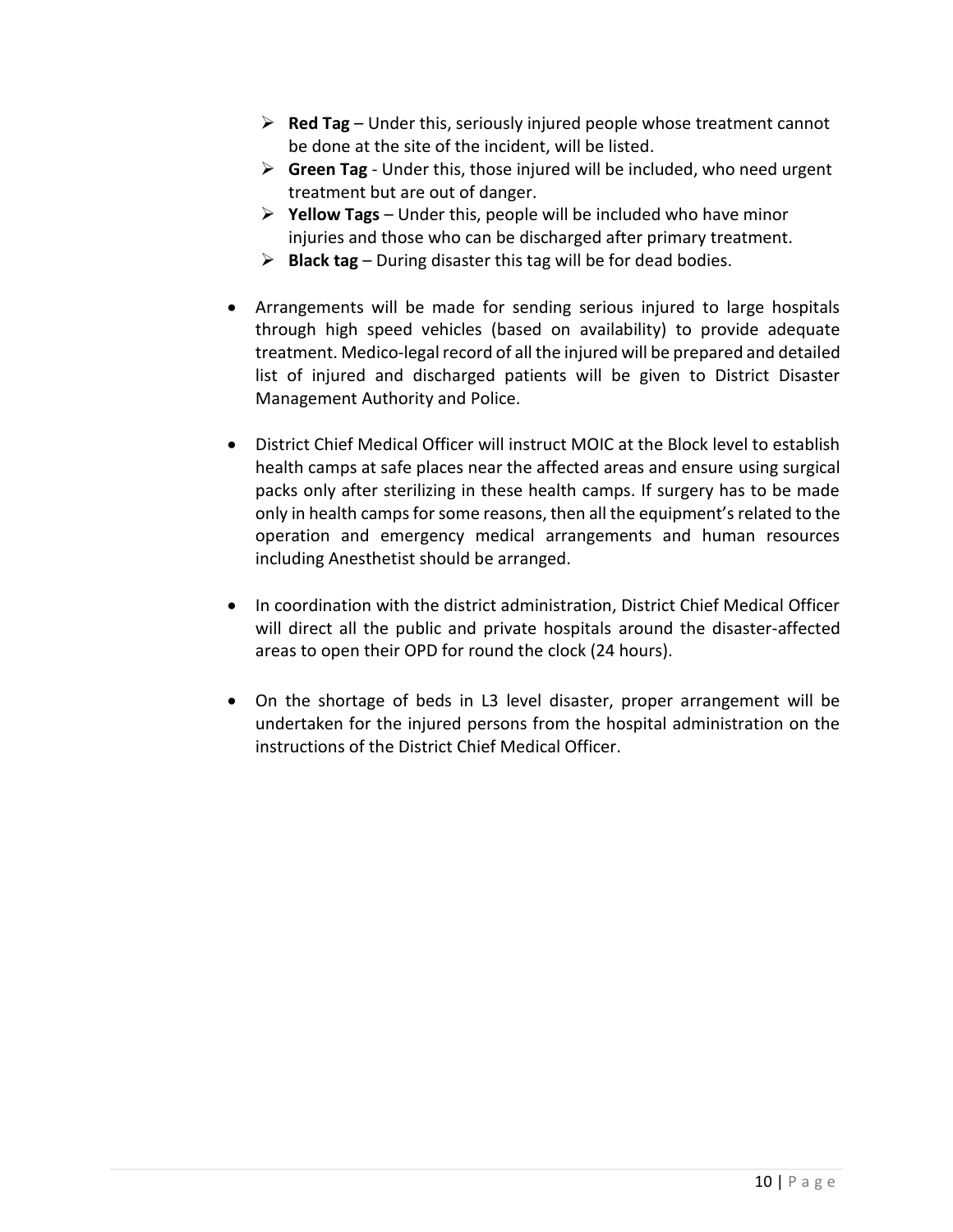- $\triangleright$  **Red Tag** Under this, seriously injured people whose treatment cannot be done at the site of the incident, will be listed.
- $\triangleright$  **Green Tag** Under this, those injured will be included, who need urgent treatment but are out of danger.
- **Yellow Tags** Under this, people will be included who have minor injuries and those who can be discharged after primary treatment.
- $\triangleright$  **Black tag** During disaster this tag will be for dead bodies.
- Arrangements will be made for sending serious injured to large hospitals through high speed vehicles (based on availability) to provide adequate treatment. Medico-legal record of all the injured will be prepared and detailed list of injured and discharged patients will be given to District Disaster Management Authority and Police.
- District Chief Medical Officer will instruct MOIC at the Block level to establish health camps at safe places near the affected areas and ensure using surgical packs only after sterilizing in these health camps. If surgery has to be made only in health camps for some reasons, then all the equipment'srelated to the operation and emergency medical arrangements and human resources including Anesthetist should be arranged.
- In coordination with the district administration, District Chief Medical Officer will direct all the public and private hospitals around the disaster-affected areas to open their OPD for round the clock (24 hours).
- On the shortage of beds in L3 level disaster, proper arrangement will be undertaken for the injured persons from the hospital administration on the instructions of the District Chief Medical Officer.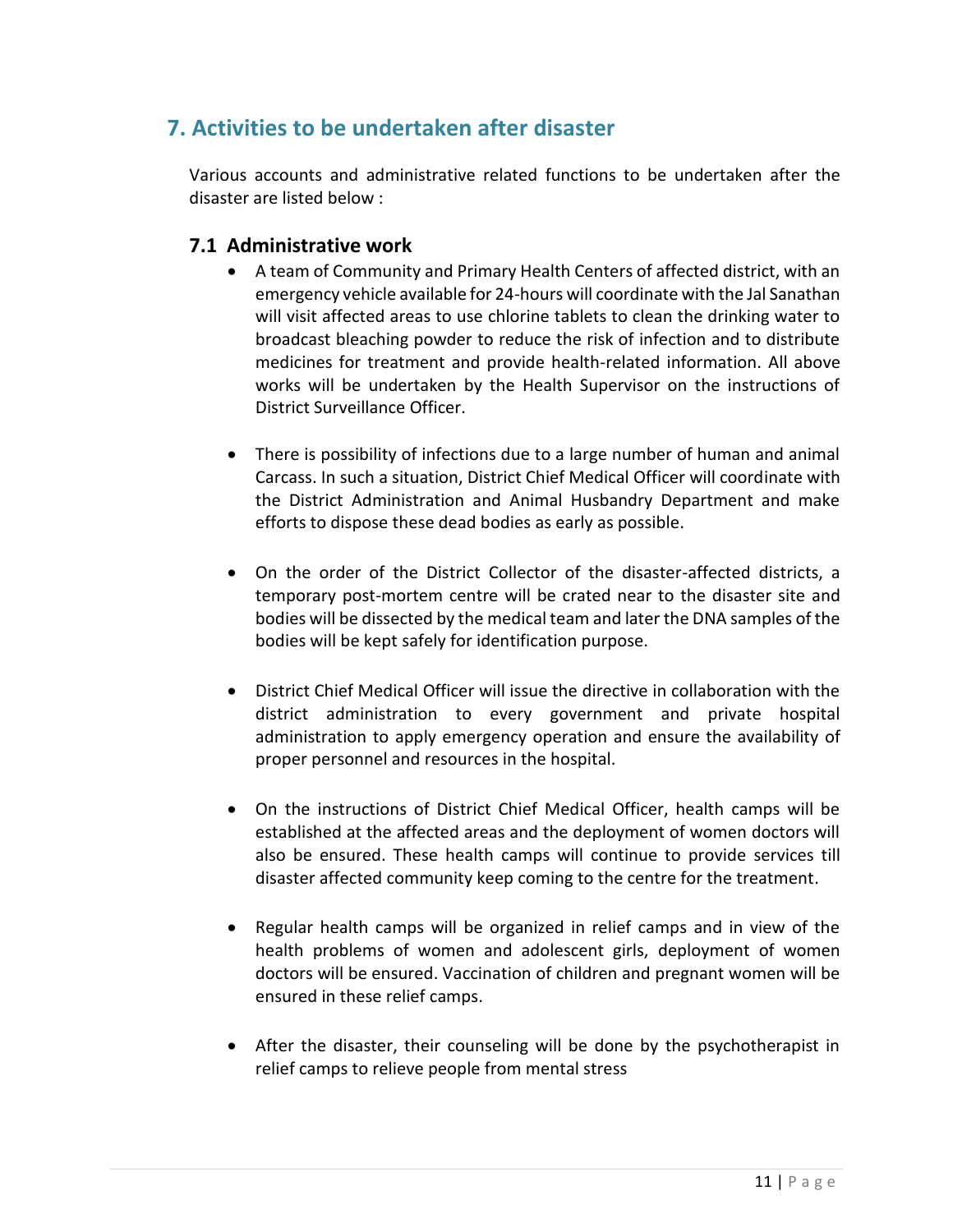# **7. Activities to be undertaken after disaster**

Various accounts and administrative related functions to be undertaken after the disaster are listed below :

#### **7.1 Administrative work**

- A team of Community and Primary Health Centers of affected district, with an emergency vehicle available for 24-hours will coordinate with the Jal Sanathan will visit affected areas to use chlorine tablets to clean the drinking water to broadcast bleaching powder to reduce the risk of infection and to distribute medicines for treatment and provide health-related information. All above works will be undertaken by the Health Supervisor on the instructions of District Surveillance Officer.
- There is possibility of infections due to a large number of human and animal Carcass. In such a situation, District Chief Medical Officer will coordinate with the District Administration and Animal Husbandry Department and make efforts to dispose these dead bodies as early as possible.
- On the order of the District Collector of the disaster-affected districts, a temporary post-mortem centre will be crated near to the disaster site and bodies will be dissected by the medical team and later the DNA samples of the bodies will be kept safely for identification purpose.
- District Chief Medical Officer will issue the directive in collaboration with the district administration to every government and private hospital administration to apply emergency operation and ensure the availability of proper personnel and resources in the hospital.
- On the instructions of District Chief Medical Officer, health camps will be established at the affected areas and the deployment of women doctors will also be ensured. These health camps will continue to provide services till disaster affected community keep coming to the centre for the treatment.
- Regular health camps will be organized in relief camps and in view of the health problems of women and adolescent girls, deployment of women doctors will be ensured. Vaccination of children and pregnant women will be ensured in these relief camps.
- After the disaster, their counseling will be done by the psychotherapist in relief camps to relieve people from mental stress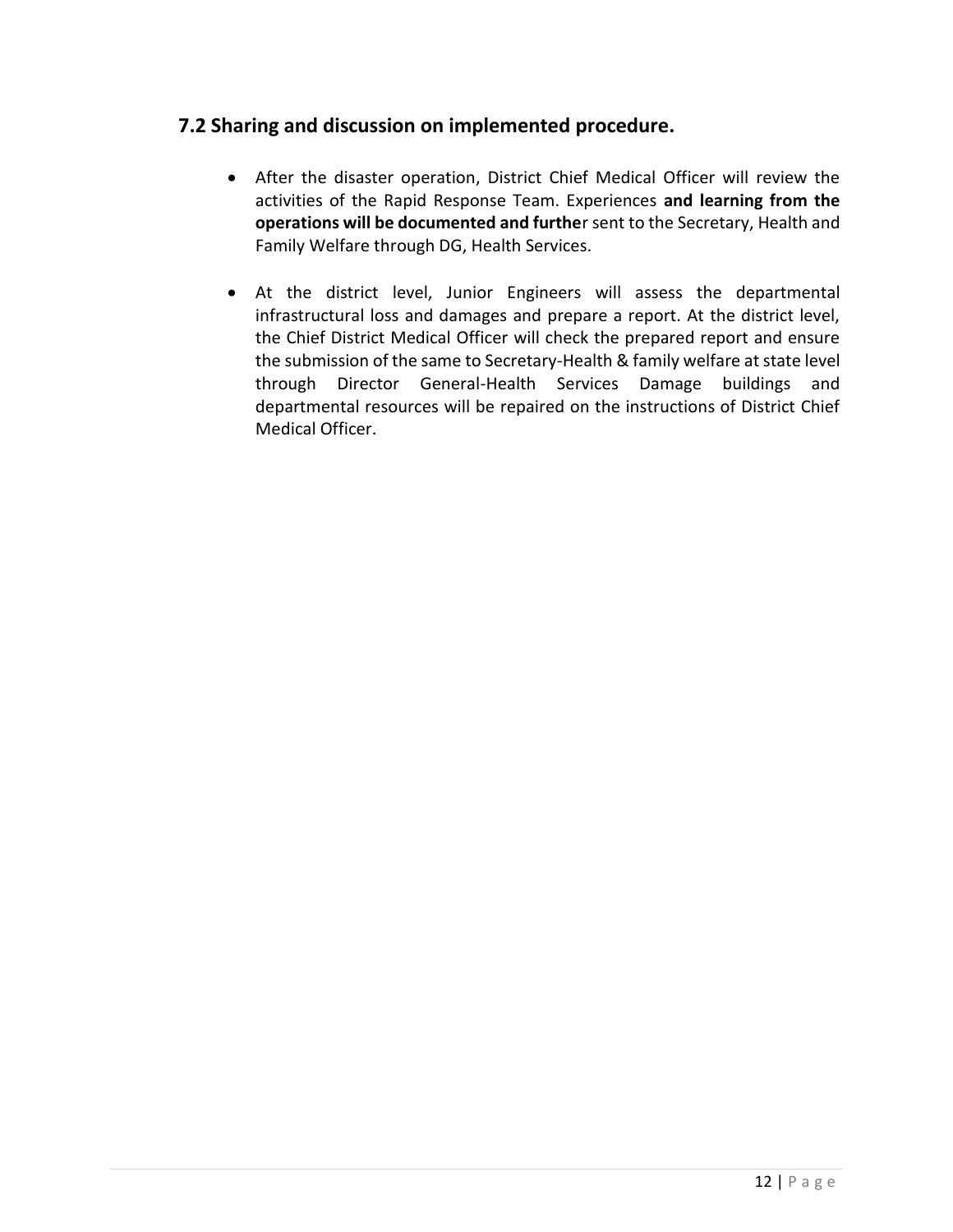#### **7.2 Sharing and discussion on implemented procedure.**

- After the disaster operation, District Chief Medical Officer will review the activities of the Rapid Response Team. Experiences **and learning from the operations will be documented and furthe**r sent to the Secretary, Health and Family Welfare through DG, Health Services.
- At the district level, Junior Engineers will assess the departmental infrastructural loss and damages and prepare a report. At the district level, the Chief District Medical Officer will check the prepared report and ensure the submission of the same to Secretary-Health & family welfare at state level through Director General-Health Services Damage buildings and departmental resources will be repaired on the instructions of District Chief Medical Officer.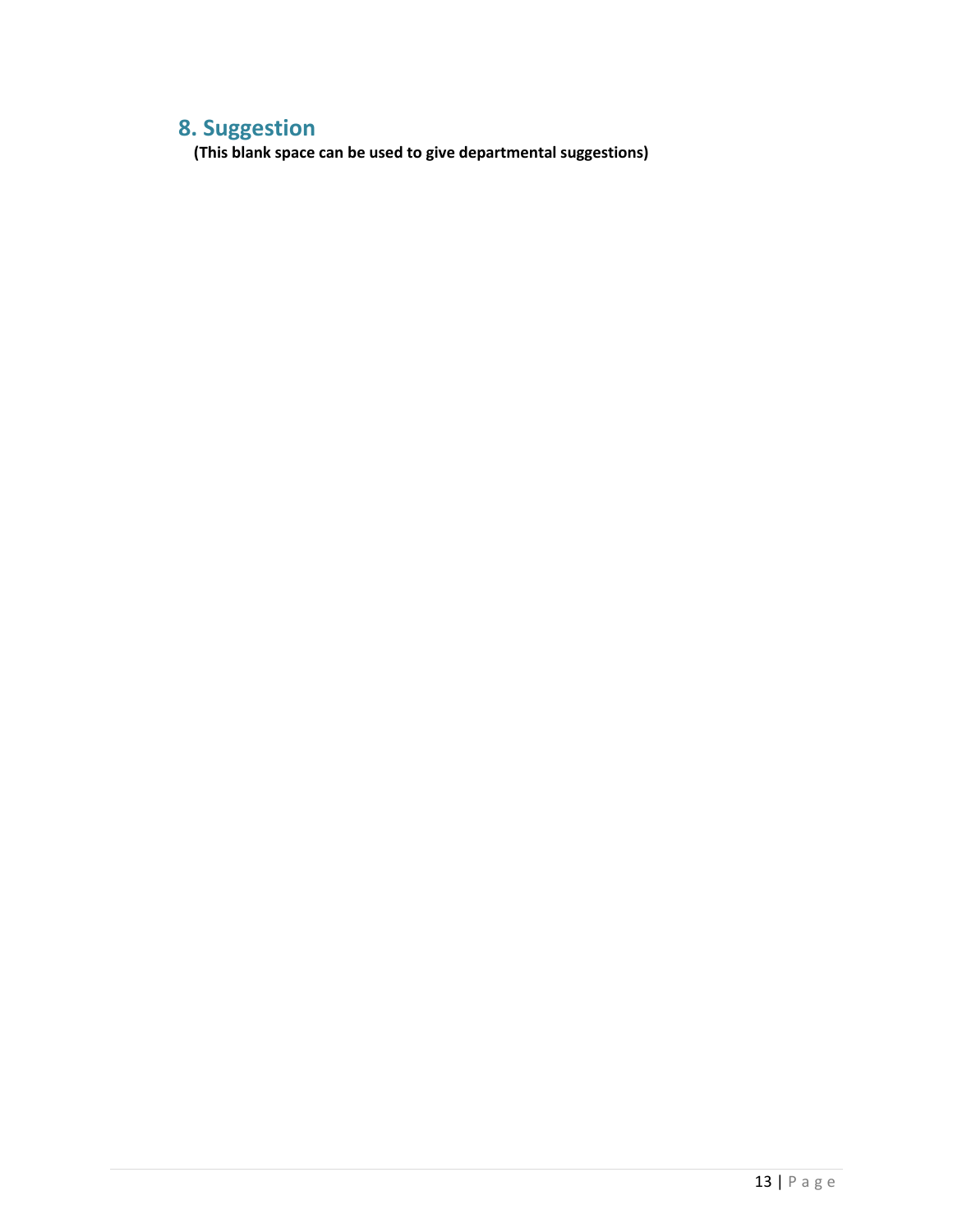# **8. Suggestion**

 **(This blank space can be used to give departmental suggestions)**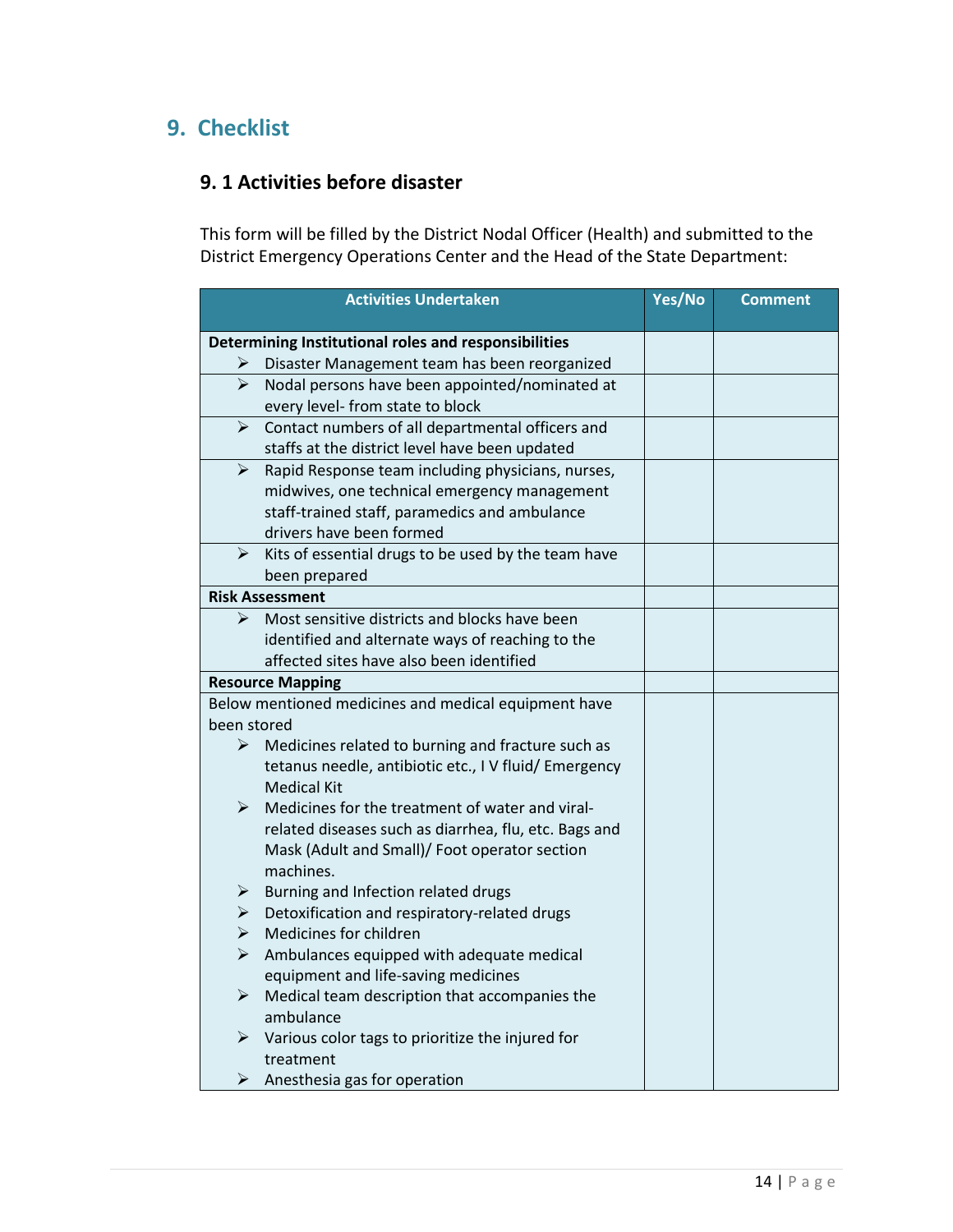# **9. Checklist**

### **9. 1 Activities before disaster**

This form will be filled by the District Nodal Officer (Health) and submitted to the District Emergency Operations Center and the Head of the State Department:

|                       | <b>Activities Undertaken</b>                                                                          | Yes/No | <b>Comment</b> |
|-----------------------|-------------------------------------------------------------------------------------------------------|--------|----------------|
|                       |                                                                                                       |        |                |
|                       | Determining Institutional roles and responsibilities<br>Disaster Management team has been reorganized |        |                |
| ↘                     | Nodal persons have been appointed/nominated at                                                        |        |                |
|                       | every level- from state to block                                                                      |        |                |
| ➤                     | Contact numbers of all departmental officers and                                                      |        |                |
|                       | staffs at the district level have been updated                                                        |        |                |
| ➤                     | Rapid Response team including physicians, nurses,                                                     |        |                |
|                       | midwives, one technical emergency management                                                          |        |                |
|                       | staff-trained staff, paramedics and ambulance                                                         |        |                |
|                       | drivers have been formed                                                                              |        |                |
| $\blacktriangleright$ | Kits of essential drugs to be used by the team have                                                   |        |                |
|                       | been prepared                                                                                         |        |                |
|                       | <b>Risk Assessment</b>                                                                                |        |                |
| ➤                     | Most sensitive districts and blocks have been                                                         |        |                |
|                       | identified and alternate ways of reaching to the                                                      |        |                |
|                       | affected sites have also been identified                                                              |        |                |
|                       | <b>Resource Mapping</b>                                                                               |        |                |
|                       | Below mentioned medicines and medical equipment have                                                  |        |                |
| been stored           |                                                                                                       |        |                |
| ➤                     | Medicines related to burning and fracture such as                                                     |        |                |
|                       | tetanus needle, antibiotic etc., I V fluid/ Emergency                                                 |        |                |
|                       | <b>Medical Kit</b>                                                                                    |        |                |
| ➤                     | Medicines for the treatment of water and viral-                                                       |        |                |
|                       | related diseases such as diarrhea, flu, etc. Bags and                                                 |        |                |
|                       | Mask (Adult and Small)/ Foot operator section                                                         |        |                |
|                       | machines.                                                                                             |        |                |
| ➤                     | Burning and Infection related drugs                                                                   |        |                |
| $\blacktriangleright$ | Detoxification and respiratory-related drugs                                                          |        |                |
| ➤                     | Medicines for children                                                                                |        |                |
| $\blacktriangleright$ | Ambulances equipped with adequate medical                                                             |        |                |
|                       | equipment and life-saving medicines                                                                   |        |                |
| ➤                     | Medical team description that accompanies the                                                         |        |                |
|                       | ambulance                                                                                             |        |                |
| $\blacktriangleright$ | Various color tags to prioritize the injured for                                                      |        |                |
|                       | treatment                                                                                             |        |                |
| ➤                     | Anesthesia gas for operation                                                                          |        |                |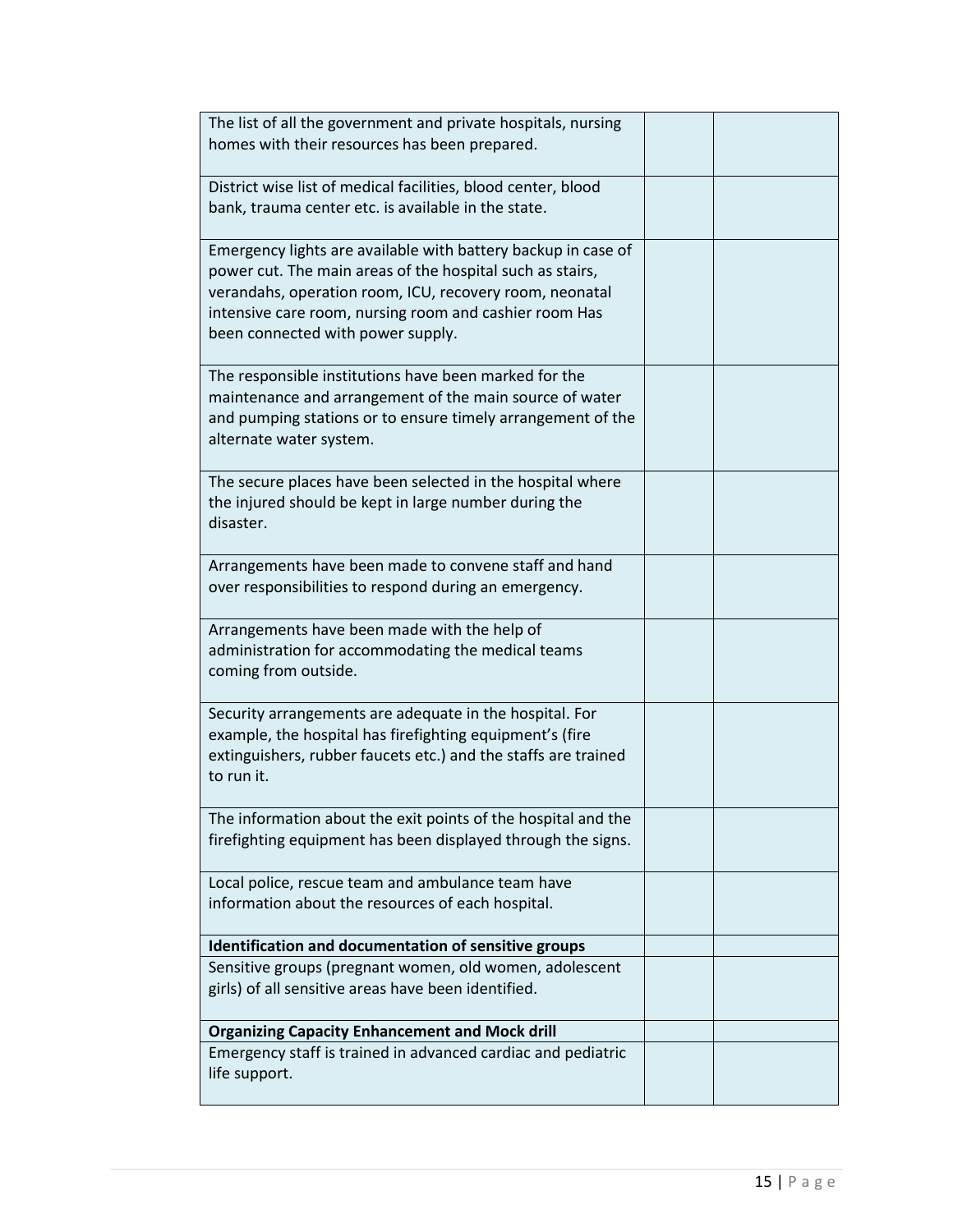| The list of all the government and private hospitals, nursing                                                        |  |
|----------------------------------------------------------------------------------------------------------------------|--|
| homes with their resources has been prepared.                                                                        |  |
|                                                                                                                      |  |
| District wise list of medical facilities, blood center, blood<br>bank, trauma center etc. is available in the state. |  |
|                                                                                                                      |  |
| Emergency lights are available with battery backup in case of                                                        |  |
| power cut. The main areas of the hospital such as stairs,                                                            |  |
| verandahs, operation room, ICU, recovery room, neonatal                                                              |  |
| intensive care room, nursing room and cashier room Has                                                               |  |
| been connected with power supply.                                                                                    |  |
| The responsible institutions have been marked for the                                                                |  |
| maintenance and arrangement of the main source of water                                                              |  |
| and pumping stations or to ensure timely arrangement of the                                                          |  |
| alternate water system.                                                                                              |  |
| The secure places have been selected in the hospital where                                                           |  |
| the injured should be kept in large number during the                                                                |  |
| disaster.                                                                                                            |  |
| Arrangements have been made to convene staff and hand                                                                |  |
| over responsibilities to respond during an emergency.                                                                |  |
|                                                                                                                      |  |
| Arrangements have been made with the help of                                                                         |  |
| administration for accommodating the medical teams                                                                   |  |
| coming from outside.                                                                                                 |  |
| Security arrangements are adequate in the hospital. For                                                              |  |
| example, the hospital has firefighting equipment's (fire                                                             |  |
| extinguishers, rubber faucets etc.) and the staffs are trained                                                       |  |
| to run it.                                                                                                           |  |
| The information about the exit points of the hospital and the                                                        |  |
| firefighting equipment has been displayed through the signs.                                                         |  |
| Local police, rescue team and ambulance team have                                                                    |  |
| information about the resources of each hospital.                                                                    |  |
|                                                                                                                      |  |
| Identification and documentation of sensitive groups                                                                 |  |
| Sensitive groups (pregnant women, old women, adolescent                                                              |  |
| girls) of all sensitive areas have been identified.                                                                  |  |
| <b>Organizing Capacity Enhancement and Mock drill</b>                                                                |  |
| Emergency staff is trained in advanced cardiac and pediatric                                                         |  |
| life support.                                                                                                        |  |
|                                                                                                                      |  |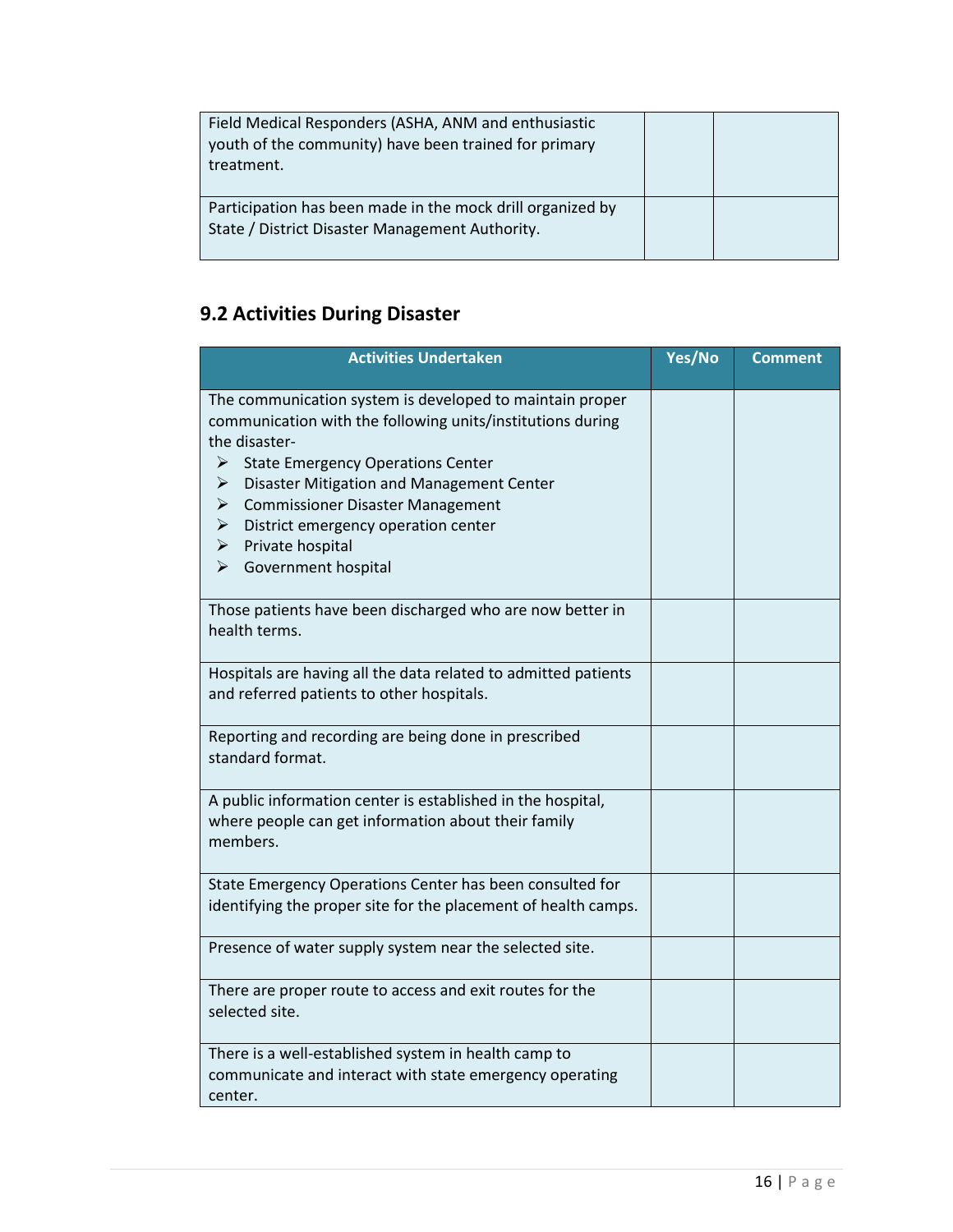| Field Medical Responders (ASHA, ANM and enthusiastic<br>youth of the community) have been trained for primary<br>treatment. |  |
|-----------------------------------------------------------------------------------------------------------------------------|--|
| Participation has been made in the mock drill organized by<br>State / District Disaster Management Authority.               |  |

# **9.2 Activities During Disaster**

| <b>Activities Undertaken</b>                                                                                                                                                                                                                                                                                                                                                                                                | Yes/No | <b>Comment</b> |
|-----------------------------------------------------------------------------------------------------------------------------------------------------------------------------------------------------------------------------------------------------------------------------------------------------------------------------------------------------------------------------------------------------------------------------|--------|----------------|
| The communication system is developed to maintain proper<br>communication with the following units/institutions during<br>the disaster-<br><b>State Emergency Operations Center</b><br>➤<br>Disaster Mitigation and Management Center<br>➤<br><b>Commissioner Disaster Management</b><br>➤<br>$\blacktriangleright$<br>District emergency operation center<br>$\triangleright$ Private hospital<br>Government hospital<br>➤ |        |                |
| Those patients have been discharged who are now better in<br>health terms.                                                                                                                                                                                                                                                                                                                                                  |        |                |
| Hospitals are having all the data related to admitted patients<br>and referred patients to other hospitals.                                                                                                                                                                                                                                                                                                                 |        |                |
| Reporting and recording are being done in prescribed<br>standard format.                                                                                                                                                                                                                                                                                                                                                    |        |                |
| A public information center is established in the hospital,<br>where people can get information about their family<br>members.                                                                                                                                                                                                                                                                                              |        |                |
| State Emergency Operations Center has been consulted for<br>identifying the proper site for the placement of health camps.                                                                                                                                                                                                                                                                                                  |        |                |
| Presence of water supply system near the selected site.                                                                                                                                                                                                                                                                                                                                                                     |        |                |
| There are proper route to access and exit routes for the<br>selected site.                                                                                                                                                                                                                                                                                                                                                  |        |                |
| There is a well-established system in health camp to<br>communicate and interact with state emergency operating<br>center.                                                                                                                                                                                                                                                                                                  |        |                |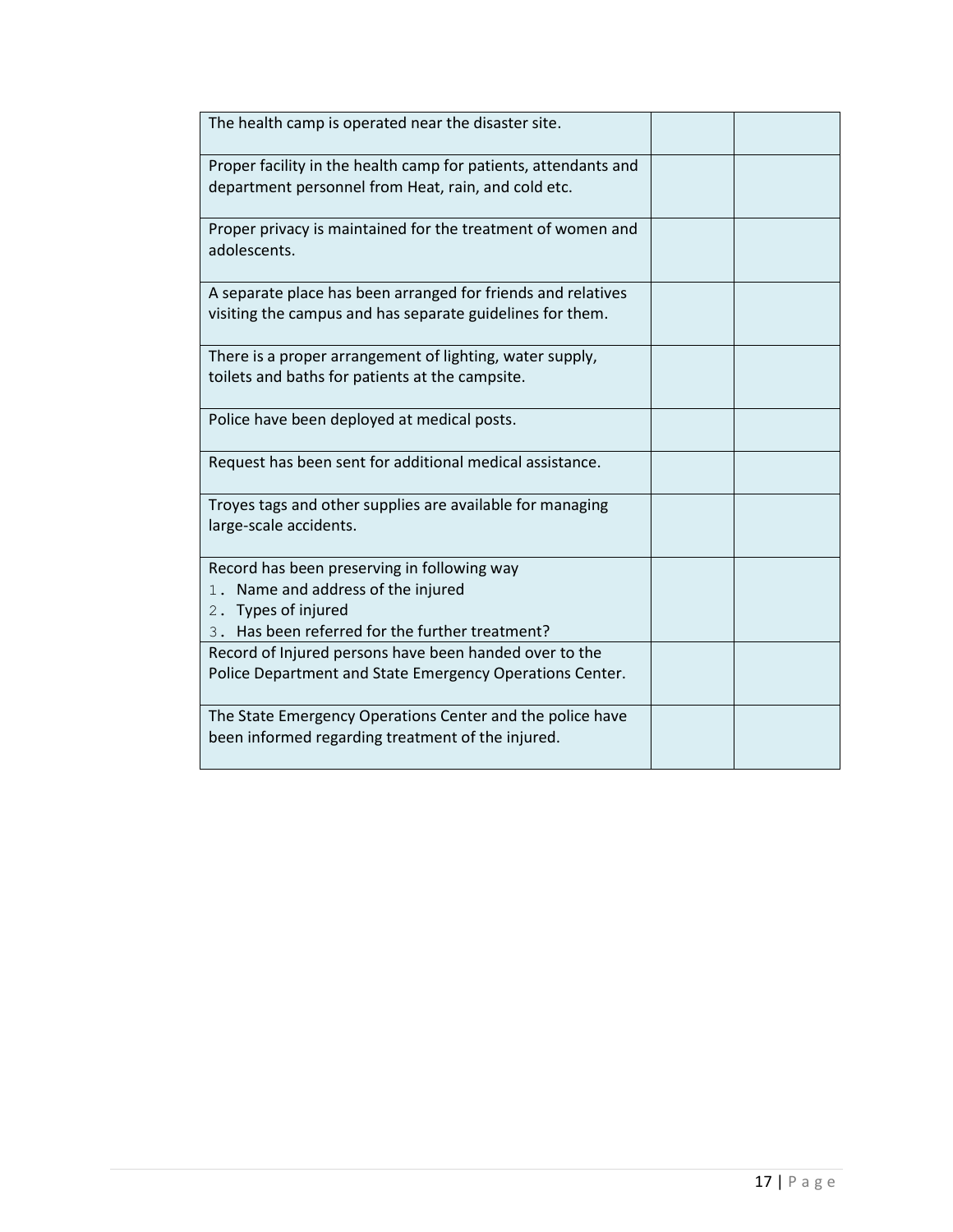| The health camp is operated near the disaster site.                                                                       |  |
|---------------------------------------------------------------------------------------------------------------------------|--|
| Proper facility in the health camp for patients, attendants and<br>department personnel from Heat, rain, and cold etc.    |  |
| Proper privacy is maintained for the treatment of women and<br>adolescents.                                               |  |
| A separate place has been arranged for friends and relatives<br>visiting the campus and has separate guidelines for them. |  |
| There is a proper arrangement of lighting, water supply,<br>toilets and baths for patients at the campsite.               |  |
| Police have been deployed at medical posts.                                                                               |  |
| Request has been sent for additional medical assistance.                                                                  |  |
| Troyes tags and other supplies are available for managing<br>large-scale accidents.                                       |  |
| Record has been preserving in following way<br>1. Name and address of the injured<br>2. Types of injured                  |  |
| 3. Has been referred for the further treatment?                                                                           |  |
| Record of Injured persons have been handed over to the<br>Police Department and State Emergency Operations Center.        |  |
| The State Emergency Operations Center and the police have<br>been informed regarding treatment of the injured.            |  |